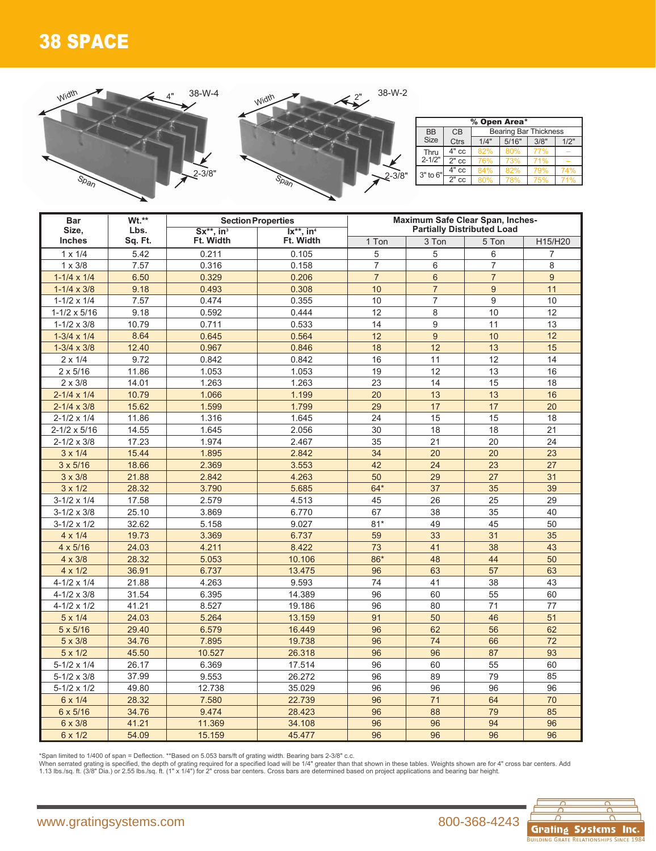## 38 SPACE



| % Open Area*       |                                    |      |       |      |      |  |  |  |  |  |  |  |
|--------------------|------------------------------------|------|-------|------|------|--|--|--|--|--|--|--|
| <b>BB</b>          | <b>Bearing Bar Thickness</b><br>CB |      |       |      |      |  |  |  |  |  |  |  |
| <b>Size</b>        | <b>Ctrs</b>                        | 1/4" | 5/16" | 3/8" | 1/2" |  |  |  |  |  |  |  |
| Thru<br>$2 - 1/2"$ | 4" cc                              | 82%  | 80%   | 77%  |      |  |  |  |  |  |  |  |
|                    | $2"$ cc                            | 76%  | 73%   | 71%  |      |  |  |  |  |  |  |  |
| 3" to 6"           | 4" cc                              | 84%  | 82%   | 79%  | 74%  |  |  |  |  |  |  |  |
|                    | $2"$ cc                            | 80%  | 78%   | 75%  | 71%  |  |  |  |  |  |  |  |

| <b>Bar</b>            | Wt.**   |                             | <b>Section Properties</b> | Maximum Safe Clear Span, Inches-<br><b>Partially Distributed Load</b> |                |                  |                |  |  |  |  |
|-----------------------|---------|-----------------------------|---------------------------|-----------------------------------------------------------------------|----------------|------------------|----------------|--|--|--|--|
| Size,                 | Lbs.    | $Sx^{**}$ , in <sup>3</sup> | $Ix***$ , in <sup>4</sup> |                                                                       |                |                  |                |  |  |  |  |
| <b>Inches</b>         | Sq. Ft. | Ft. Width                   | Ft. Width                 | 1 Ton                                                                 | 3 Ton          | 5 Ton            | H15/H20        |  |  |  |  |
| $1 \times 1/4$        | 5.42    | 0.211                       | 0.105                     | 5                                                                     | 5              | 6                | $\overline{7}$ |  |  |  |  |
| $1 \times 3/8$        | 7.57    | 0.316                       | 0.158                     | $\overline{7}$                                                        | 6              | $\overline{7}$   | 8              |  |  |  |  |
| $1-1/4 \times 1/4$    | 6.50    | 0.329                       | 0.206                     | $\overline{7}$                                                        | 6              | $\overline{7}$   | 9              |  |  |  |  |
| $1 - 1/4 \times 3/8$  | 9.18    | 0.493                       | 0.308                     | 10                                                                    | $\overline{7}$ | $\boldsymbol{9}$ | 11             |  |  |  |  |
| $1 - 1/2 \times 1/4$  | 7.57    | 0.474                       | 0.355                     | 10                                                                    | $\overline{7}$ | 9                | 10             |  |  |  |  |
| $1 - 1/2 \times 5/16$ | 9.18    | 0.592                       | 0.444                     | 12                                                                    | 8              | 10               | 12             |  |  |  |  |
| $1 - 1/2 \times 3/8$  | 10.79   | 0.711                       | 0.533                     | 14                                                                    | 9              | 11               | 13             |  |  |  |  |
| $1-3/4 \times 1/4$    | 8.64    | 0.645                       | 0.564                     | 12                                                                    | 9              | 10               | 12             |  |  |  |  |
| $1-3/4 \times 3/8$    | 12.40   | 0.967                       | 0.846                     | 18                                                                    | 12             | 13               | 15             |  |  |  |  |
| $2 \times 1/4$        | 9.72    | 0.842                       | 0.842                     | 16                                                                    | 11             | 12               | 14             |  |  |  |  |
| $2 \times 5/16$       | 11.86   | 1.053                       | 1.053                     | 19                                                                    | 12             | 13               | 16             |  |  |  |  |
| $2 \times 3/8$        | 14.01   | 1.263                       | 1.263                     | 23                                                                    | 14             | 15               | 18             |  |  |  |  |
| $2 - 1/4 \times 1/4$  | 10.79   | 1.066                       | 1.199                     | 20                                                                    | 13             | 13               | 16             |  |  |  |  |
| $2 - 1/4 \times 3/8$  | 15.62   | 1.599                       | 1.799                     | 29                                                                    | 17             | 17               | 20             |  |  |  |  |
| $2 - 1/2 \times 1/4$  | 11.86   | 1.316                       | 1.645                     | 24                                                                    | 15             | 15               | 18             |  |  |  |  |
| $2 - 1/2 \times 5/16$ | 14.55   | 1.645                       | 2.056                     | 30                                                                    | 18             | 18               | 21             |  |  |  |  |
| $2 - 1/2 \times 3/8$  | 17.23   | 1.974                       | 2.467                     | 35                                                                    | 21             | 20               | 24             |  |  |  |  |
| $3 \times 1/4$        | 15.44   | 1.895                       | 2.842                     | 34                                                                    | 20             | 20               | 23             |  |  |  |  |
| $3 \times 5/16$       | 18.66   | 2.369                       | 3.553                     | 42                                                                    | 24             | 23               | 27             |  |  |  |  |
| $3 \times 3/8$        | 21.88   | 2.842                       | 4.263                     | 50                                                                    | 29             | 27               | 31             |  |  |  |  |
| $3 \times 1/2$        | 28.32   | 3.790                       | 5.685                     | $64*$                                                                 | 37             | 35               | 39             |  |  |  |  |
| $3-1/2 \times 1/4$    | 17.58   | 2.579                       | 4.513                     | 45                                                                    | 26             | 25               | 29             |  |  |  |  |
| $3 - 1/2 \times 3/8$  | 25.10   | 3.869                       | 6.770                     | 67                                                                    | 38             | 35               | 40             |  |  |  |  |
| $3-1/2 \times 1/2$    | 32.62   | 5.158                       | 9.027                     | $81*$                                                                 | 49             | 45               | 50             |  |  |  |  |
| $4 \times 1/4$        | 19.73   | 3.369                       | 6.737                     | 59                                                                    | 33             | 31               | 35             |  |  |  |  |
| $4 \times 5/16$       | 24.03   | 4.211                       | 8.422                     | 73                                                                    | 41             | 38               | 43             |  |  |  |  |
| $4 \times 3/8$        | 28.32   | 5.053                       | 10.106                    | $86*$                                                                 | 48             | 44               | 50             |  |  |  |  |
| $4 \times 1/2$        | 36.91   | 6.737                       | 13.475                    | 96                                                                    | 63             | 57               | 63             |  |  |  |  |
| $4 - 1/2 \times 1/4$  | 21.88   | 4.263                       | 9.593                     | 74                                                                    | 41             | 38               | 43             |  |  |  |  |
| $4 - 1/2 \times 3/8$  | 31.54   | 6.395                       | 14.389                    | 96                                                                    | 60             | 55               | 60             |  |  |  |  |
| $4 - 1/2 \times 1/2$  | 41.21   | 8.527                       | 19.186                    | 96                                                                    | 80             | 71               | 77             |  |  |  |  |
| $5 \times 1/4$        | 24.03   | 5.264                       | 13.159                    | 91                                                                    | 50             | 46               | 51             |  |  |  |  |
| $5 \times 5/16$       | 29.40   | 6.579                       | 16.449                    | 96                                                                    | 62             | 56               | 62             |  |  |  |  |
| $5 \times 3/8$        | 34.76   | 7.895                       | 19.738                    | 96                                                                    | 74             | 66               | 72             |  |  |  |  |
| $5 \times 1/2$        | 45.50   | 10.527                      | 26.318                    | 96                                                                    | 96             | 87               | 93             |  |  |  |  |
| $5-1/2 \times 1/4$    | 26.17   | 6.369                       | 17.514                    | 96                                                                    | 60             | 55               | 60             |  |  |  |  |
| $5 - 1/2 \times 3/8$  | 37.99   | 9.553                       | 26.272                    | 96                                                                    | 89             | 79               | 85             |  |  |  |  |
| $5-1/2 \times 1/2$    | 49.80   | 12.738                      | 35.029                    | 96                                                                    | 96             | 96               | 96             |  |  |  |  |
| 6 x 1/4               | 28.32   | 7.580                       | 22.739                    | 96                                                                    | 71             | 64               | 70             |  |  |  |  |
| 6 x 5/16              | 34.76   | 9.474                       | 28.423                    | 96                                                                    | 88             | 79               | 85             |  |  |  |  |
| 6 x 3/8               | 41.21   | 11.369                      | 34.108                    | 96                                                                    | 96             | 94               | 96             |  |  |  |  |
| 6 x 1/2               | 54.09   | 15.159                      | 45.477                    | 96                                                                    | 96             | 96               | 96             |  |  |  |  |

\*Span limited to 1/400 of span = Deflection. \*\*Based on 5.053 bars/ft of grating width. Bearing bars 2-3/8" c.c.<br>When serrated grating is specified, the depth of grating required for a specified load will be 1/4" greater t